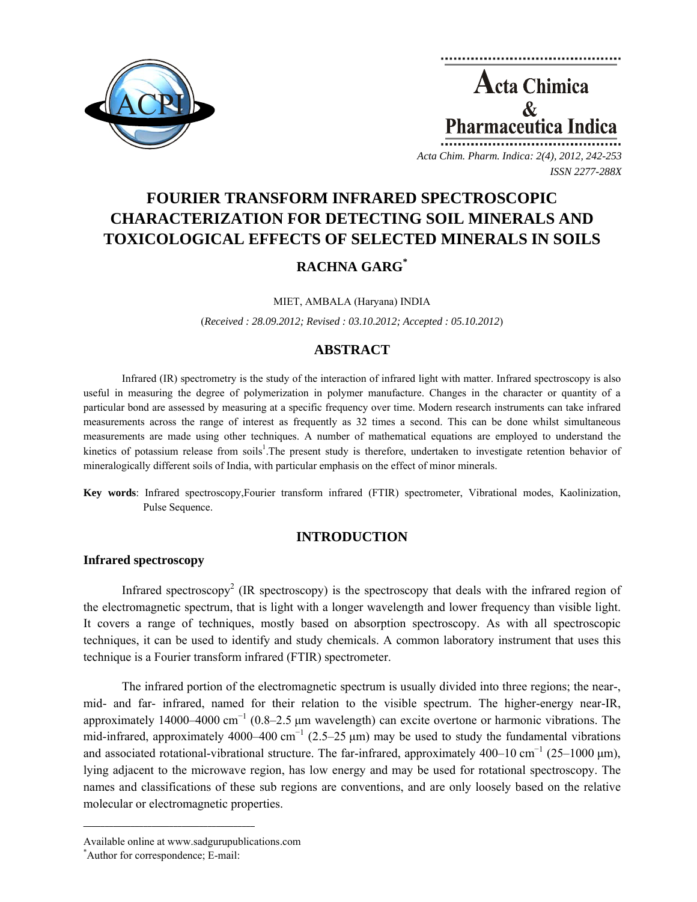

**Acta Chimica**  $\mathcal{R}_{\mathcal{L}}$ **Pharmaceutica Indica** 

*Acta Chim. Pharm. Indica: 2(4), 2012, 242-253 ISSN 2277-288X*

# **FOURIER TRANSFORM INFRARED SPECTROSCOPIC CHARACTERIZATION FOR DETECTING SOIL MINERALS AND TOXICOLOGICAL EFFECTS OF SELECTED MINERALS IN SOILS**

## **RACHNA GARG\***

MIET, AMBALA (Haryana) INDIA

(*Received : 28.09.2012; Revised : 03.10.2012; Accepted : 05.10.2012*)

## **ABSTRACT**

Infrared (IR) spectrometry is the study of the interaction of infrared light with matter. Infrared spectroscopy is also useful in measuring the degree of polymerization in polymer manufacture. Changes in the character or quantity of a particular bond are assessed by measuring at a specific frequency over time. Modern research instruments can take infrared measurements across the range of interest as frequently as 32 times a second. This can be done whilst simultaneous measurements are made using other techniques. A number of mathematical equations are employed to understand the kinetics of potassium release from soils<sup>1</sup>. The present study is therefore, undertaken to investigate retention behavior of mineralogically different soils of India, with particular emphasis on the effect of minor minerals.

**Key words**: Infrared spectroscopy,Fourier transform infrared (FTIR) spectrometer, Vibrational modes, Kaolinization, Pulse Sequence.

## **INTRODUCTION**

## **Infrared spectroscopy**

Infrared spectroscopy<sup>2</sup> (IR spectroscopy) is the spectroscopy that deals with the infrared region of the electromagnetic spectrum, that is light with a longer wavelength and lower frequency than visible light. It covers a range of techniques, mostly based on absorption spectroscopy. As with all spectroscopic techniques, it can be used to identify and study chemicals. A common laboratory instrument that uses this technique is a Fourier transform infrared (FTIR) spectrometer.

The infrared portion of the electromagnetic spectrum is usually divided into three regions; the near-, mid- and far- infrared, named for their relation to the visible spectrum. The higher-energy near-IR, approximately 14000–4000 cm<sup>-1</sup> (0.8–2.5 µm wavelength) can excite overtone or harmonic vibrations. The mid-infrared, approximately 4000–400 cm<sup>-1</sup> (2.5–25 µm) may be used to study the fundamental vibrations and associated rotational-vibrational structure. The far-infrared, approximately 400–10 cm<sup>-1</sup> (25–1000 µm), lying adjacent to the microwave region, has low energy and may be used for rotational spectroscopy. The names and classifications of these sub regions are conventions, and are only loosely based on the relative molecular or electromagnetic properties.

**\_\_\_\_\_\_\_\_\_\_\_\_\_\_\_\_\_\_\_\_\_\_\_\_\_\_\_\_\_\_\_\_\_\_\_\_\_\_\_\_**

Available online at www.sadgurupublications.com \*

Author for correspondence; E-mail: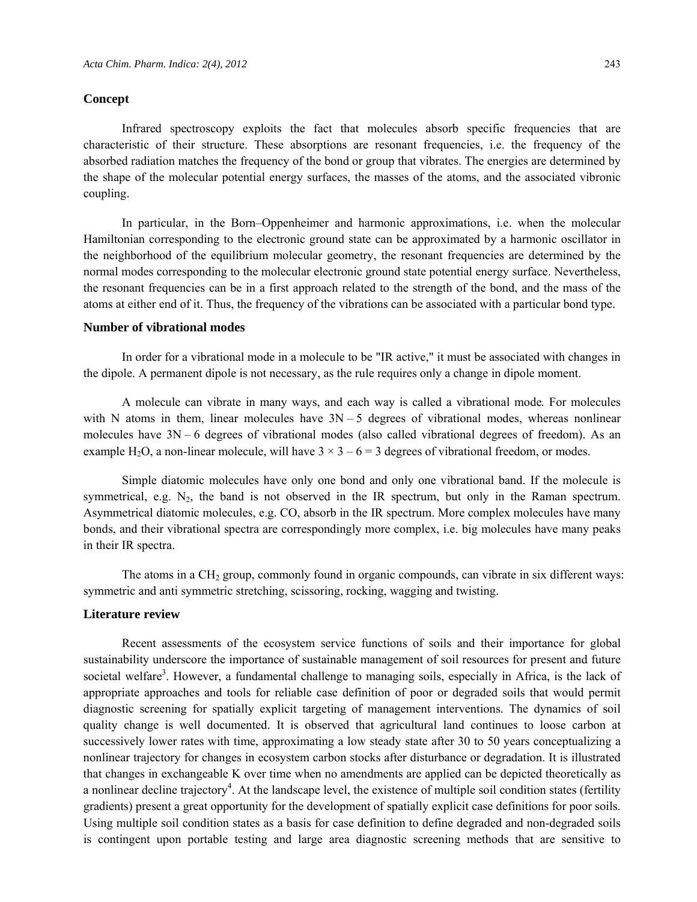#### **Concept**

Infrared spectroscopy exploits the fact that molecules absorb specific frequencies that are characteristic of their structure. These absorptions are resonant frequencies, i.e. the frequency of the absorbed radiation matches the frequency of the bond or group that vibrates. The energies are determined by the shape of the molecular potential energy surfaces, the masses of the atoms, and the associated vibronic coupling.

In particular, in the Born–Oppenheimer and harmonic approximations, i.e. when the molecular Hamiltonian corresponding to the electronic ground state can be approximated by a harmonic oscillator in the neighborhood of the equilibrium molecular geometry, the resonant frequencies are determined by the normal modes corresponding to the molecular electronic ground state potential energy surface. Nevertheless, the resonant frequencies can be in a first approach related to the strength of the bond, and the mass of the atoms at either end of it. Thus, the frequency of the vibrations can be associated with a particular bond type.

#### **Number of vibrational modes**

In order for a vibrational mode in a molecule to be "IR active," it must be associated with changes in the dipole. A permanent dipole is not necessary, as the rule requires only a change in dipole moment.

A molecule can vibrate in many ways, and each way is called a vibrational mode*.* For molecules with N atoms in them, linear molecules have  $3N - 5$  degrees of vibrational modes, whereas nonlinear molecules have 3N – 6 degrees of vibrational modes (also called vibrational degrees of freedom). As an example H<sub>2</sub>O, a non-linear molecule, will have  $3 \times 3 - 6 = 3$  degrees of vibrational freedom, or modes.

Simple diatomic molecules have only one bond and only one vibrational band. If the molecule is symmetrical, e.g.  $N_2$ , the band is not observed in the IR spectrum, but only in the Raman spectrum. Asymmetrical diatomic molecules, e.g. CO, absorb in the IR spectrum. More complex molecules have many bonds, and their vibrational spectra are correspondingly more complex, i.e. big molecules have many peaks in their IR spectra.

The atoms in a  $CH<sub>2</sub>$  group, commonly found in organic compounds, can vibrate in six different ways: symmetric and anti symmetric stretching, scissoring, rocking, wagging and twisting.

#### **Literature review**

Recent assessments of the ecosystem service functions of soils and their importance for global sustainability underscore the importance of sustainable management of soil resources for present and future societal welfare<sup>3</sup>. However, a fundamental challenge to managing soils, especially in Africa, is the lack of appropriate approaches and tools for reliable case definition of poor or degraded soils that would permit diagnostic screening for spatially explicit targeting of management interventions. The dynamics of soil quality change is well documented. It is observed that agricultural land continues to loose carbon at successively lower rates with time, approximating a low steady state after 30 to 50 years conceptualizing a nonlinear trajectory for changes in ecosystem carbon stocks after disturbance or degradation. It is illustrated that changes in exchangeable K over time when no amendments are applied can be depicted theoretically as a nonlinear decline trajectory<sup>4</sup>. At the landscape level, the existence of multiple soil condition states (fertility gradients) present a great opportunity for the development of spatially explicit case definitions for poor soils. Using multiple soil condition states as a basis for case definition to define degraded and non-degraded soils is contingent upon portable testing and large area diagnostic screening methods that are sensitive to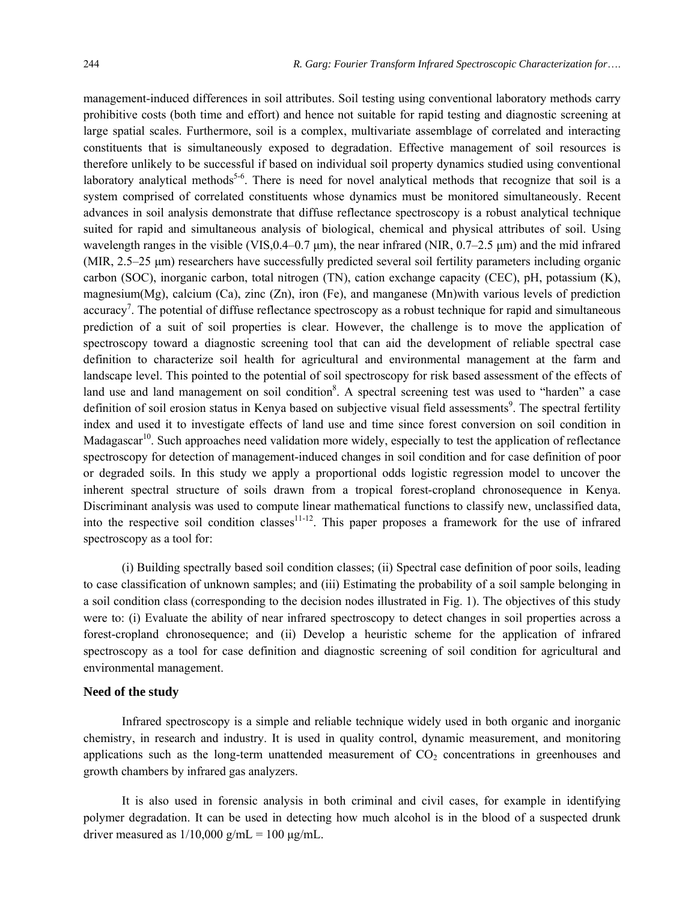management-induced differences in soil attributes. Soil testing using conventional laboratory methods carry prohibitive costs (both time and effort) and hence not suitable for rapid testing and diagnostic screening at large spatial scales. Furthermore, soil is a complex, multivariate assemblage of correlated and interacting constituents that is simultaneously exposed to degradation. Effective management of soil resources is therefore unlikely to be successful if based on individual soil property dynamics studied using conventional laboratory analytical methods<sup>5-6</sup>. There is need for novel analytical methods that recognize that soil is a system comprised of correlated constituents whose dynamics must be monitored simultaneously. Recent advances in soil analysis demonstrate that diffuse reflectance spectroscopy is a robust analytical technique suited for rapid and simultaneous analysis of biological, chemical and physical attributes of soil. Using wavelength ranges in the visible (VIS,  $0.4-0.7$  µm), the near infrared (NIR,  $0.7-2.5$  µm) and the mid infrared (MIR, 2.5–25 μm) researchers have successfully predicted several soil fertility parameters including organic carbon (SOC), inorganic carbon, total nitrogen (TN), cation exchange capacity (CEC), pH, potassium (K), magnesium(Mg), calcium (Ca), zinc (Zn), iron (Fe), and manganese (Mn) with various levels of prediction accuracy<sup>7</sup>. The potential of diffuse reflectance spectroscopy as a robust technique for rapid and simultaneous prediction of a suit of soil properties is clear. However, the challenge is to move the application of spectroscopy toward a diagnostic screening tool that can aid the development of reliable spectral case definition to characterize soil health for agricultural and environmental management at the farm and landscape level. This pointed to the potential of soil spectroscopy for risk based assessment of the effects of land use and land management on soil condition<sup>8</sup>. A spectral screening test was used to "harden" a case definition of soil erosion status in Kenya based on subjective visual field assessments<sup>9</sup>. The spectral fertility index and used it to investigate effects of land use and time since forest conversion on soil condition in Madagascar<sup>10</sup>. Such approaches need validation more widely, especially to test the application of reflectance spectroscopy for detection of management-induced changes in soil condition and for case definition of poor or degraded soils. In this study we apply a proportional odds logistic regression model to uncover the inherent spectral structure of soils drawn from a tropical forest-cropland chronosequence in Kenya. Discriminant analysis was used to compute linear mathematical functions to classify new, unclassified data, into the respective soil condition classes<sup>11-12</sup>. This paper proposes a framework for the use of infrared spectroscopy as a tool for:

(i) Building spectrally based soil condition classes; (ii) Spectral case definition of poor soils, leading to case classification of unknown samples; and (iii) Estimating the probability of a soil sample belonging in a soil condition class (corresponding to the decision nodes illustrated in Fig. 1). The objectives of this study were to: (i) Evaluate the ability of near infrared spectroscopy to detect changes in soil properties across a forest-cropland chronosequence; and (ii) Develop a heuristic scheme for the application of infrared spectroscopy as a tool for case definition and diagnostic screening of soil condition for agricultural and environmental management.

#### **Need of the study**

Infrared spectroscopy is a simple and reliable technique widely used in both organic and inorganic chemistry, in research and industry. It is used in quality control, dynamic measurement, and monitoring applications such as the long-term unattended measurement of  $CO<sub>2</sub>$  concentrations in greenhouses and growth chambers by infrared gas analyzers.

It is also used in forensic analysis in both criminal and civil cases, for example in identifying polymer degradation. It can be used in detecting how much alcohol is in the blood of a suspected drunk driver measured as  $1/10,000 \text{ g/mL} = 100 \text{ µg/mL}$ .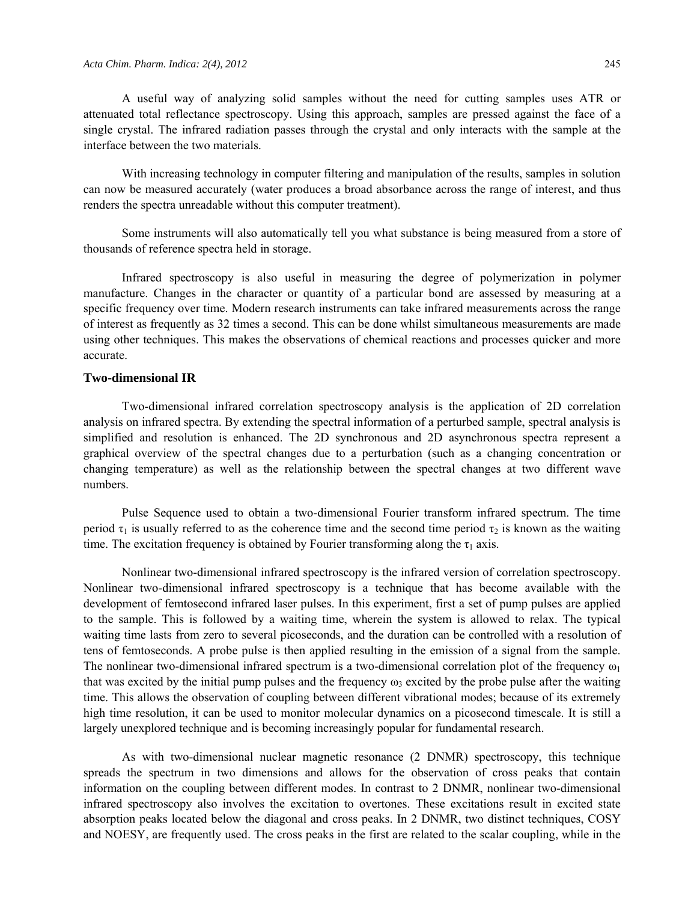A useful way of analyzing solid samples without the need for cutting samples uses ATR or attenuated total reflectance spectroscopy. Using this approach, samples are pressed against the face of a single crystal. The infrared radiation passes through the crystal and only interacts with the sample at the interface between the two materials.

With increasing technology in computer filtering and manipulation of the results, samples in solution can now be measured accurately (water produces a broad absorbance across the range of interest, and thus renders the spectra unreadable without this computer treatment).

Some instruments will also automatically tell you what substance is being measured from a store of thousands of reference spectra held in storage.

Infrared spectroscopy is also useful in measuring the degree of polymerization in polymer manufacture. Changes in the character or quantity of a particular bond are assessed by measuring at a specific frequency over time. Modern research instruments can take infrared measurements across the range of interest as frequently as 32 times a second. This can be done whilst simultaneous measurements are made using other techniques. This makes the observations of chemical reactions and processes quicker and more accurate.

## **Two-dimensional IR**

Two-dimensional infrared correlation spectroscopy analysis is the application of 2D correlation analysis on infrared spectra. By extending the spectral information of a perturbed sample, spectral analysis is simplified and resolution is enhanced. The 2D synchronous and 2D asynchronous spectra represent a graphical overview of the spectral changes due to a perturbation (such as a changing concentration or changing temperature) as well as the relationship between the spectral changes at two different wave numbers.

Pulse Sequence used to obtain a two-dimensional Fourier transform infrared spectrum. The time period  $\tau_1$  is usually referred to as the coherence time and the second time period  $\tau_2$  is known as the waiting time. The excitation frequency is obtained by Fourier transforming along the  $\tau_1$  axis.

Nonlinear two-dimensional infrared spectroscopy is the infrared version of correlation spectroscopy. Nonlinear two-dimensional infrared spectroscopy is a technique that has become available with the development of femtosecond infrared laser pulses. In this experiment, first a set of pump pulses are applied to the sample. This is followed by a waiting time, wherein the system is allowed to relax. The typical waiting time lasts from zero to several picoseconds, and the duration can be controlled with a resolution of tens of femtoseconds. A probe pulse is then applied resulting in the emission of a signal from the sample. The nonlinear two-dimensional infrared spectrum is a two-dimensional correlation plot of the frequency  $\omega_1$ that was excited by the initial pump pulses and the frequency  $\omega_3$  excited by the probe pulse after the waiting time. This allows the observation of coupling between different vibrational modes; because of its extremely high time resolution, it can be used to monitor molecular dynamics on a picosecond timescale. It is still a largely unexplored technique and is becoming increasingly popular for fundamental research.

As with two-dimensional nuclear magnetic resonance (2 DNMR) spectroscopy, this technique spreads the spectrum in two dimensions and allows for the observation of cross peaks that contain information on the coupling between different modes. In contrast to 2 DNMR, nonlinear two-dimensional infrared spectroscopy also involves the excitation to overtones. These excitations result in excited state absorption peaks located below the diagonal and cross peaks. In 2 DNMR, two distinct techniques, COSY and NOESY, are frequently used. The cross peaks in the first are related to the scalar coupling, while in the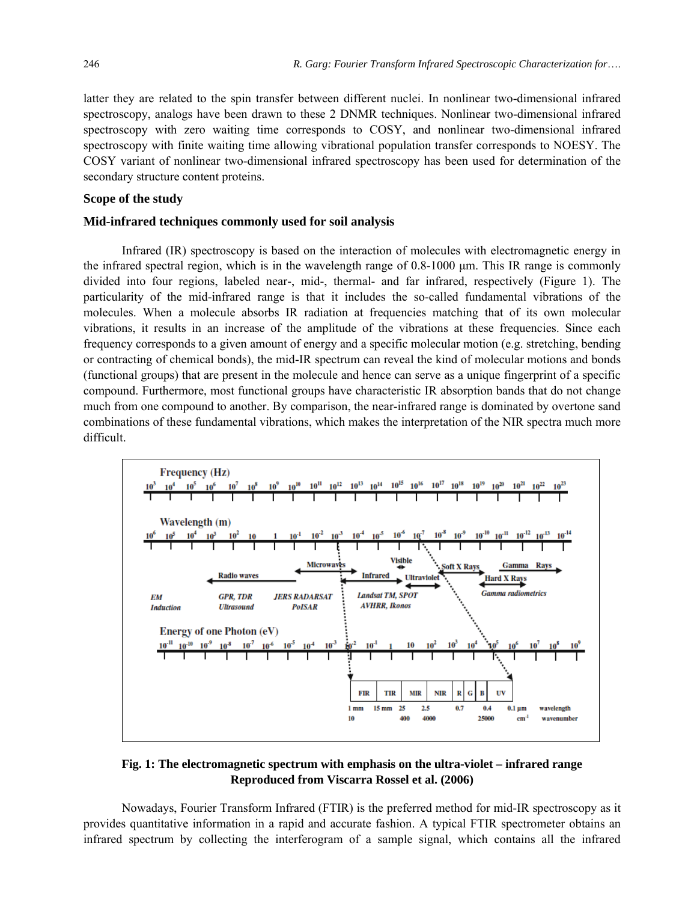latter they are related to the spin transfer between different nuclei. In nonlinear two-dimensional infrared spectroscopy, analogs have been drawn to these 2 DNMR techniques. Nonlinear two-dimensional infrared spectroscopy with zero waiting time corresponds to COSY, and nonlinear two-dimensional infrared spectroscopy with finite waiting time allowing vibrational population transfer corresponds to NOESY. The COSY variant of nonlinear two-dimensional infrared spectroscopy has been used for determination of the secondary structure content proteins.

#### **Scope of the study**

#### **Mid-infrared techniques commonly used for soil analysis**

Infrared (IR) spectroscopy is based on the interaction of molecules with electromagnetic energy in the infrared spectral region, which is in the wavelength range of 0.8-1000 μm. This IR range is commonly divided into four regions, labeled near-, mid-, thermal- and far infrared, respectively (Figure 1). The particularity of the mid-infrared range is that it includes the so-called fundamental vibrations of the molecules. When a molecule absorbs IR radiation at frequencies matching that of its own molecular vibrations, it results in an increase of the amplitude of the vibrations at these frequencies. Since each frequency corresponds to a given amount of energy and a specific molecular motion (e.g. stretching, bending or contracting of chemical bonds), the mid-IR spectrum can reveal the kind of molecular motions and bonds (functional groups) that are present in the molecule and hence can serve as a unique fingerprint of a specific compound. Furthermore, most functional groups have characteristic IR absorption bands that do not change much from one compound to another. By comparison, the near-infrared range is dominated by overtone sand combinations of these fundamental vibrations, which makes the interpretation of the NIR spectra much more difficult.



## **Fig. 1: The electromagnetic spectrum with emphasis on the ultra-violet – infrared range Reproduced from Viscarra Rossel et al. (2006)**

Nowadays, Fourier Transform Infrared (FTIR) is the preferred method for mid-IR spectroscopy as it provides quantitative information in a rapid and accurate fashion. A typical FTIR spectrometer obtains an infrared spectrum by collecting the interferogram of a sample signal, which contains all the infrared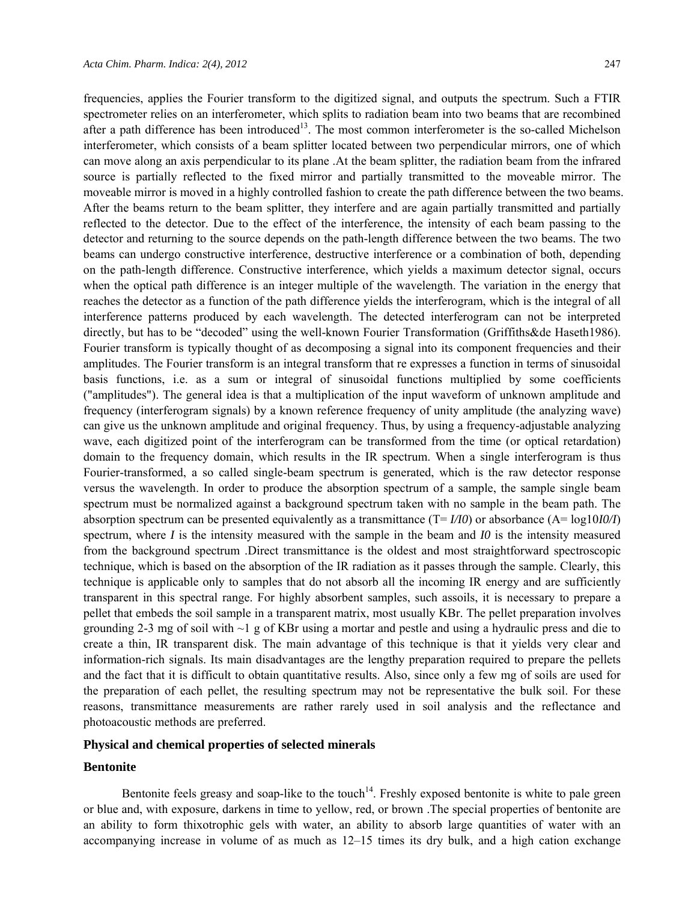frequencies, applies the Fourier transform to the digitized signal, and outputs the spectrum. Such a FTIR spectrometer relies on an interferometer, which splits to radiation beam into two beams that are recombined after a path difference has been introduced<sup>13</sup>. The most common interferometer is the so-called Michelson interferometer, which consists of a beam splitter located between two perpendicular mirrors, one of which can move along an axis perpendicular to its plane .At the beam splitter, the radiation beam from the infrared source is partially reflected to the fixed mirror and partially transmitted to the moveable mirror. The moveable mirror is moved in a highly controlled fashion to create the path difference between the two beams. After the beams return to the beam splitter, they interfere and are again partially transmitted and partially reflected to the detector. Due to the effect of the interference, the intensity of each beam passing to the detector and returning to the source depends on the path-length difference between the two beams. The two beams can undergo constructive interference, destructive interference or a combination of both, depending on the path-length difference. Constructive interference, which yields a maximum detector signal, occurs when the optical path difference is an integer multiple of the wavelength. The variation in the energy that reaches the detector as a function of the path difference yields the interferogram, which is the integral of all interference patterns produced by each wavelength. The detected interferogram can not be interpreted directly, but has to be "decoded" using the well-known Fourier Transformation (Griffiths&de Haseth1986). Fourier transform is typically thought of as decomposing a signal into its component frequencies and their amplitudes. The Fourier transform is an integral transform that re expresses a function in terms of sinusoidal basis functions, i.e. as a sum or integral of sinusoidal functions multiplied by some coefficients ("amplitudes"). The general idea is that a multiplication of the input waveform of unknown amplitude and frequency (interferogram signals) by a known reference frequency of unity amplitude (the analyzing wave) can give us the unknown amplitude and original frequency. Thus, by using a frequency-adjustable analyzing wave, each digitized point of the interferogram can be transformed from the time (or optical retardation) domain to the frequency domain, which results in the IR spectrum. When a single interferogram is thus Fourier-transformed, a so called single-beam spectrum is generated, which is the raw detector response versus the wavelength. In order to produce the absorption spectrum of a sample, the sample single beam spectrum must be normalized against a background spectrum taken with no sample in the beam path. The absorption spectrum can be presented equivalently as a transmittance (T= *I/I0*) or absorbance (A= log10*I0/I*) spectrum, where *I* is the intensity measured with the sample in the beam and *I0* is the intensity measured from the background spectrum .Direct transmittance is the oldest and most straightforward spectroscopic technique, which is based on the absorption of the IR radiation as it passes through the sample. Clearly, this technique is applicable only to samples that do not absorb all the incoming IR energy and are sufficiently transparent in this spectral range. For highly absorbent samples, such assoils, it is necessary to prepare a pellet that embeds the soil sample in a transparent matrix, most usually KBr. The pellet preparation involves grounding 2-3 mg of soil with  $\sim$ 1 g of KBr using a mortar and pestle and using a hydraulic press and die to create a thin, IR transparent disk. The main advantage of this technique is that it yields very clear and information-rich signals. Its main disadvantages are the lengthy preparation required to prepare the pellets and the fact that it is difficult to obtain quantitative results. Also, since only a few mg of soils are used for the preparation of each pellet, the resulting spectrum may not be representative the bulk soil. For these reasons, transmittance measurements are rather rarely used in soil analysis and the reflectance and photoacoustic methods are preferred.

#### **Physical and chemical properties of selected minerals**

#### **Bentonite**

Bentonite feels greasy and soap-like to the touch<sup>14</sup>. Freshly exposed bentonite is white to pale green or blue and, with exposure, darkens in time to yellow, red, or brown .The special properties of bentonite are an ability to form thixotrophic gels with water, an ability to absorb large quantities of water with an accompanying increase in volume of as much as 12–15 times its dry bulk, and a high cation exchange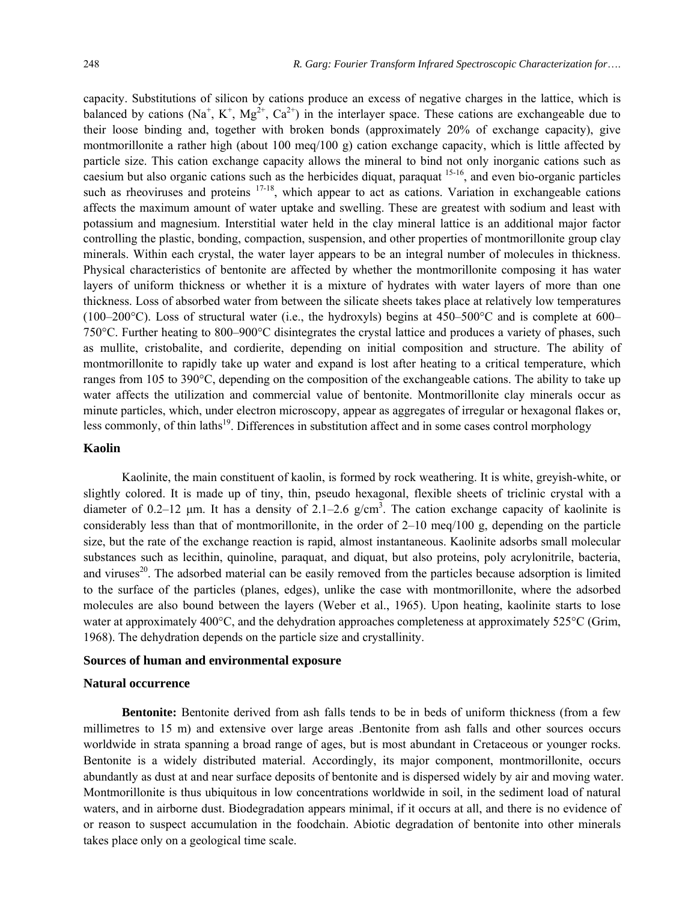capacity. Substitutions of silicon by cations produce an excess of negative charges in the lattice, which is balanced by cations (Na<sup>+</sup>, K<sup>+</sup>, Mg<sup>2+</sup>, Ca<sup>2+</sup>) in the interlayer space. These cations are exchangeable due to their loose binding and, together with broken bonds (approximately 20% of exchange capacity), give montmorillonite a rather high (about 100 meq/100 g) cation exchange capacity, which is little affected by particle size. This cation exchange capacity allows the mineral to bind not only inorganic cations such as caesium but also organic cations such as the herbicides diquat, paraquat  $15-16$ , and even bio-organic particles such as rheoviruses and proteins  $17-18$ , which appear to act as cations. Variation in exchangeable cations affects the maximum amount of water uptake and swelling. These are greatest with sodium and least with potassium and magnesium. Interstitial water held in the clay mineral lattice is an additional major factor controlling the plastic, bonding, compaction, suspension, and other properties of montmorillonite group clay minerals. Within each crystal, the water layer appears to be an integral number of molecules in thickness. Physical characteristics of bentonite are affected by whether the montmorillonite composing it has water layers of uniform thickness or whether it is a mixture of hydrates with water layers of more than one thickness. Loss of absorbed water from between the silicate sheets takes place at relatively low temperatures (100–200 $^{\circ}$ C). Loss of structural water (i.e., the hydroxyls) begins at 450–500 $^{\circ}$ C and is complete at 600– 750°C. Further heating to 800–900°C disintegrates the crystal lattice and produces a variety of phases, such as mullite, cristobalite, and cordierite, depending on initial composition and structure. The ability of montmorillonite to rapidly take up water and expand is lost after heating to a critical temperature, which ranges from 105 to 390°C, depending on the composition of the exchangeable cations. The ability to take up water affects the utilization and commercial value of bentonite. Montmorillonite clay minerals occur as minute particles, which, under electron microscopy, appear as aggregates of irregular or hexagonal flakes or, less commonly, of thin laths<sup>19</sup>. Differences in substitution affect and in some cases control morphology

## **Kaolin**

Kaolinite, the main constituent of kaolin, is formed by rock weathering. It is white, greyish-white, or slightly colored. It is made up of tiny, thin, pseudo hexagonal, flexible sheets of triclinic crystal with a diameter of 0.2–12  $\mu$ m. It has a density of 2.1–2.6 g/cm<sup>3</sup>. The cation exchange capacity of kaolinite is considerably less than that of montmorillonite, in the order of  $2-10$  meg/100 g, depending on the particle size, but the rate of the exchange reaction is rapid, almost instantaneous. Kaolinite adsorbs small molecular substances such as lecithin, quinoline, paraquat, and diquat, but also proteins, poly acrylonitrile, bacteria, and viruses<sup>20</sup>. The adsorbed material can be easily removed from the particles because adsorption is limited to the surface of the particles (planes, edges), unlike the case with montmorillonite, where the adsorbed molecules are also bound between the layers (Weber et al., 1965). Upon heating, kaolinite starts to lose water at approximately 400°C, and the dehydration approaches completeness at approximately 525°C (Grim, 1968). The dehydration depends on the particle size and crystallinity.

## **Sources of human and environmental exposure**

#### **Natural occurrence**

**Bentonite:** Bentonite derived from ash falls tends to be in beds of uniform thickness (from a few millimetres to 15 m) and extensive over large areas .Bentonite from ash falls and other sources occurs worldwide in strata spanning a broad range of ages, but is most abundant in Cretaceous or younger rocks. Bentonite is a widely distributed material. Accordingly, its major component, montmorillonite, occurs abundantly as dust at and near surface deposits of bentonite and is dispersed widely by air and moving water. Montmorillonite is thus ubiquitous in low concentrations worldwide in soil, in the sediment load of natural waters, and in airborne dust. Biodegradation appears minimal, if it occurs at all, and there is no evidence of or reason to suspect accumulation in the foodchain. Abiotic degradation of bentonite into other minerals takes place only on a geological time scale.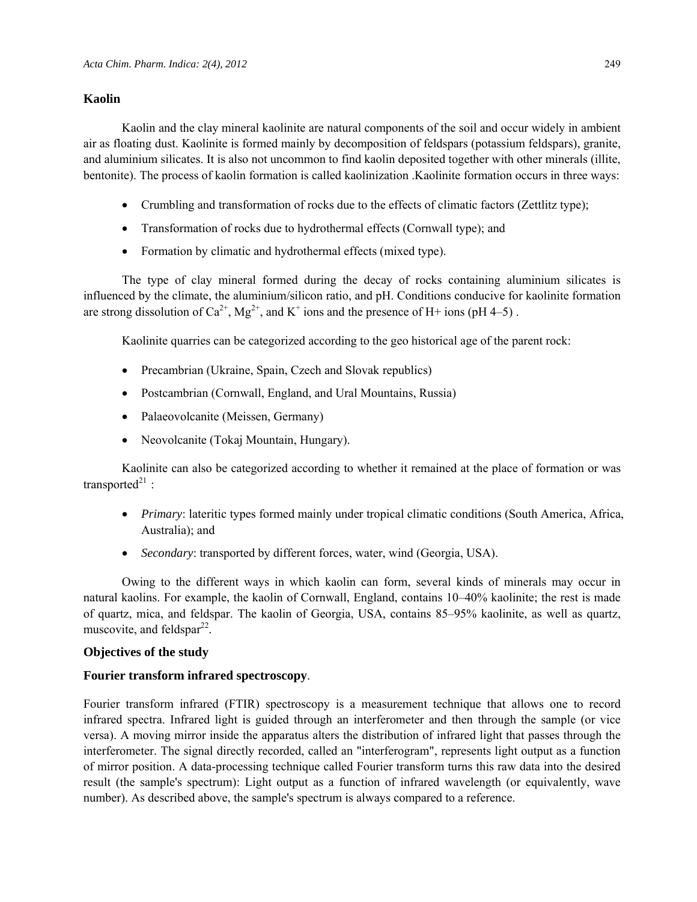#### **Kaolin**

Kaolin and the clay mineral kaolinite are natural components of the soil and occur widely in ambient air as floating dust. Kaolinite is formed mainly by decomposition of feldspars (potassium feldspars), granite, and aluminium silicates. It is also not uncommon to find kaolin deposited together with other minerals (illite, bentonite). The process of kaolin formation is called kaolinization .Kaolinite formation occurs in three ways:

- Crumbling and transformation of rocks due to the effects of climatic factors (Zettlitz type);
- Transformation of rocks due to hydrothermal effects (Cornwall type); and
- Formation by climatic and hydrothermal effects (mixed type).

The type of clay mineral formed during the decay of rocks containing aluminium silicates is influenced by the climate, the aluminium/silicon ratio, and pH. Conditions conducive for kaolinite formation are strong dissolution of Ca<sup>2+</sup>, Mg<sup>2+</sup>, and K<sup>+</sup> ions and the presence of H+ ions (pH 4–5).

Kaolinite quarries can be categorized according to the geo historical age of the parent rock:

- Precambrian (Ukraine, Spain, Czech and Slovak republics)
- Postcambrian (Cornwall, England, and Ural Mountains, Russia)
- Palaeovolcanite (Meissen, Germany)
- Neovolcanite (Tokaj Mountain, Hungary).

Kaolinite can also be categorized according to whether it remained at the place of formation or was transported $^{21}$  :

- *Primary*: lateritic types formed mainly under tropical climatic conditions (South America, Africa, Australia); and
- *Secondary*: transported by different forces, water, wind (Georgia, USA).

Owing to the different ways in which kaolin can form, several kinds of minerals may occur in natural kaolins. For example, the kaolin of Cornwall, England, contains 10–40% kaolinite; the rest is made of quartz, mica, and feldspar. The kaolin of Georgia, USA, contains 85–95% kaolinite, as well as quartz, muscovite, and feldspar<sup>22</sup>.

## **Objectives of the study**

## **Fourier transform infrared spectroscopy**.

Fourier transform infrared (FTIR) spectroscopy is a measurement technique that allows one to record infrared spectra. Infrared light is guided through an interferometer and then through the sample (or vice versa). A moving mirror inside the apparatus alters the distribution of infrared light that passes through the interferometer. The signal directly recorded, called an "interferogram", represents light output as a function of mirror position. A data-processing technique called Fourier transform turns this raw data into the desired result (the sample's spectrum): Light output as a function of infrared wavelength (or equivalently, wave number). As described above, the sample's spectrum is always compared to a reference.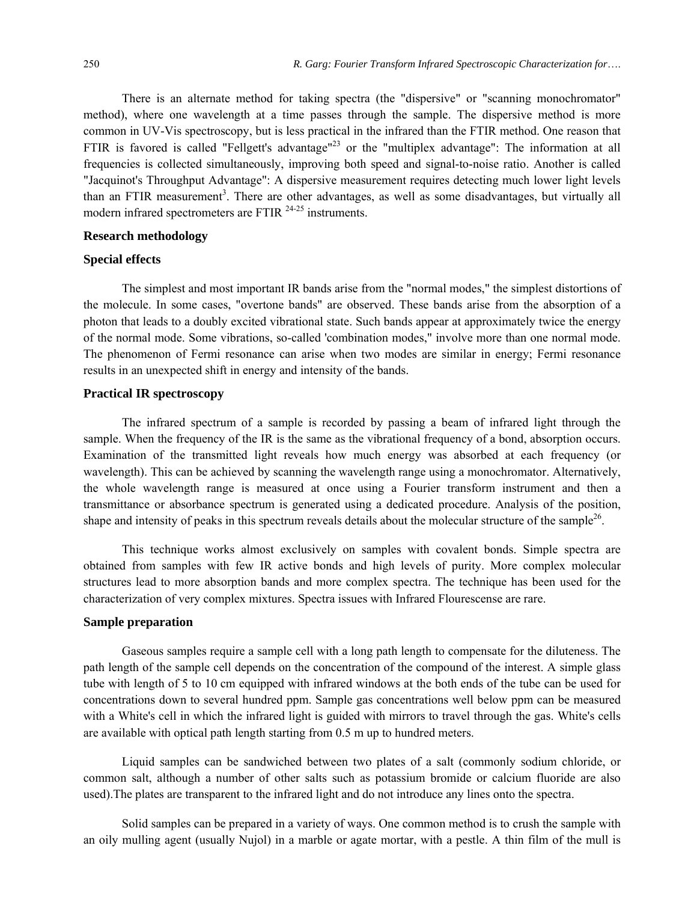There is an alternate method for taking spectra (the "dispersive" or "scanning monochromator" method), where one wavelength at a time passes through the sample. The dispersive method is more common in UV-Vis spectroscopy, but is less practical in the infrared than the FTIR method. One reason that FTIR is favored is called "Fellgett's advantage"<sup>23</sup> or the "multiplex advantage": The information at all frequencies is collected simultaneously, improving both speed and signal-to-noise ratio. Another is called "Jacquinot's Throughput Advantage": A dispersive measurement requires detecting much lower light levels than an FTIR measurement<sup>3</sup>. There are other advantages, as well as some disadvantages, but virtually all modern infrared spectrometers are FTIR<sup>24-25</sup> instruments.

### **Research methodology**

#### **Special effects**

The simplest and most important IR bands arise from the "normal modes," the simplest distortions of the molecule. In some cases, "overtone bands" are observed. These bands arise from the absorption of a photon that leads to a doubly excited vibrational state. Such bands appear at approximately twice the energy of the normal mode. Some vibrations, so-called 'combination modes," involve more than one normal mode. The phenomenon of Fermi resonance can arise when two modes are similar in energy; Fermi resonance results in an unexpected shift in energy and intensity of the bands.

#### **Practical IR spectroscopy**

The infrared spectrum of a sample is recorded by passing a beam of infrared light through the sample. When the frequency of the IR is the same as the vibrational frequency of a bond, absorption occurs. Examination of the transmitted light reveals how much energy was absorbed at each frequency (or wavelength). This can be achieved by scanning the wavelength range using a monochromator. Alternatively, the whole wavelength range is measured at once using a Fourier transform instrument and then a transmittance or absorbance spectrum is generated using a dedicated procedure. Analysis of the position, shape and intensity of peaks in this spectrum reveals details about the molecular structure of the sample<sup>26</sup>.

This technique works almost exclusively on samples with covalent bonds. Simple spectra are obtained from samples with few IR active bonds and high levels of purity. More complex molecular structures lead to more absorption bands and more complex spectra. The technique has been used for the characterization of very complex mixtures. Spectra issues with Infrared Flourescense are rare.

#### **Sample preparation**

Gaseous samples require a sample cell with a long path length to compensate for the diluteness. The path length of the sample cell depends on the concentration of the compound of the interest. A simple glass tube with length of 5 to 10 cm equipped with infrared windows at the both ends of the tube can be used for concentrations down to several hundred ppm. Sample gas concentrations well below ppm can be measured with a White's cell in which the infrared light is guided with mirrors to travel through the gas. White's cells are available with optical path length starting from 0.5 m up to hundred meters.

Liquid samples can be sandwiched between two plates of a salt (commonly sodium chloride, or common salt, although a number of other salts such as potassium bromide or calcium fluoride are also used).The plates are transparent to the infrared light and do not introduce any lines onto the spectra.

Solid samples can be prepared in a variety of ways. One common method is to crush the sample with an oily mulling agent (usually Nujol) in a marble or agate mortar, with a pestle. A thin film of the mull is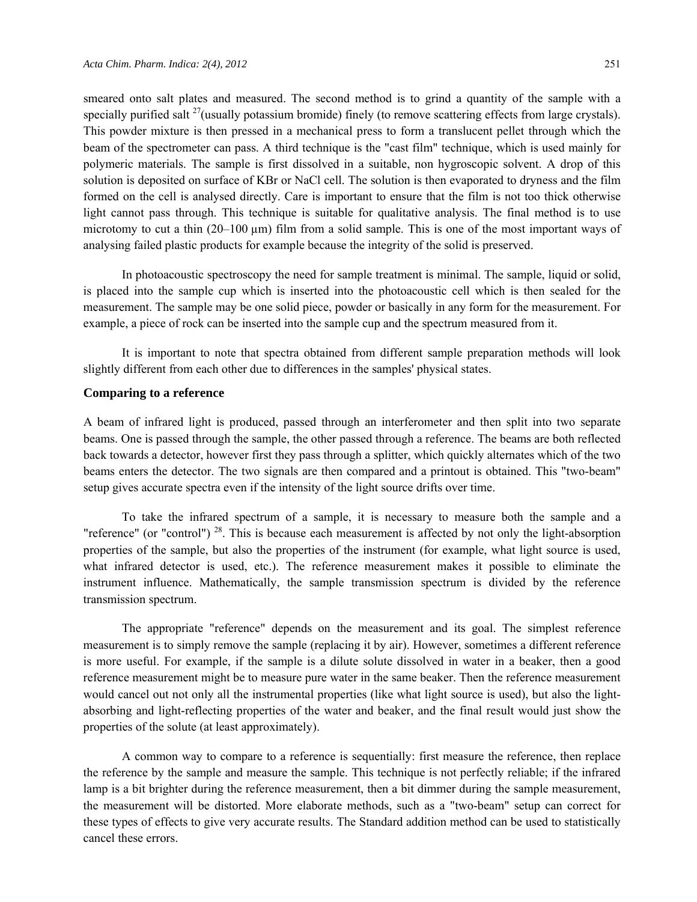smeared onto salt plates and measured. The second method is to grind a quantity of the sample with a specially purified salt  $^{27}$ (usually potassium bromide) finely (to remove scattering effects from large crystals). This powder mixture is then pressed in a mechanical press to form a translucent pellet through which the beam of the spectrometer can pass. A third technique is the "cast film" technique, which is used mainly for polymeric materials. The sample is first dissolved in a suitable, non hygroscopic solvent. A drop of this solution is deposited on surface of KBr or NaCl cell. The solution is then evaporated to dryness and the film formed on the cell is analysed directly. Care is important to ensure that the film is not too thick otherwise light cannot pass through. This technique is suitable for qualitative analysis. The final method is to use microtomy to cut a thin  $(20-100 \,\mu m)$  film from a solid sample. This is one of the most important ways of analysing failed plastic products for example because the integrity of the solid is preserved.

In photoacoustic spectroscopy the need for sample treatment is minimal. The sample, liquid or solid, is placed into the sample cup which is inserted into the photoacoustic cell which is then sealed for the measurement. The sample may be one solid piece, powder or basically in any form for the measurement. For example, a piece of rock can be inserted into the sample cup and the spectrum measured from it.

It is important to note that spectra obtained from different sample preparation methods will look slightly different from each other due to differences in the samples' physical states.

#### **Comparing to a reference**

A beam of infrared light is produced, passed through an interferometer and then split into two separate beams. One is passed through the sample, the other passed through a reference. The beams are both reflected back towards a detector, however first they pass through a splitter, which quickly alternates which of the two beams enters the detector. The two signals are then compared and a printout is obtained. This "two-beam" setup gives accurate spectra even if the intensity of the light source drifts over time.

To take the infrared spectrum of a sample, it is necessary to measure both the sample and a "reference" (or "control")  $^{28}$ . This is because each measurement is affected by not only the light-absorption properties of the sample, but also the properties of the instrument (for example, what light source is used, what infrared detector is used, etc.). The reference measurement makes it possible to eliminate the instrument influence. Mathematically, the sample transmission spectrum is divided by the reference transmission spectrum.

The appropriate "reference" depends on the measurement and its goal. The simplest reference measurement is to simply remove the sample (replacing it by air). However, sometimes a different reference is more useful. For example, if the sample is a dilute solute dissolved in water in a beaker, then a good reference measurement might be to measure pure water in the same beaker. Then the reference measurement would cancel out not only all the instrumental properties (like what light source is used), but also the lightabsorbing and light-reflecting properties of the water and beaker, and the final result would just show the properties of the solute (at least approximately).

A common way to compare to a reference is sequentially: first measure the reference, then replace the reference by the sample and measure the sample. This technique is not perfectly reliable; if the infrared lamp is a bit brighter during the reference measurement, then a bit dimmer during the sample measurement, the measurement will be distorted. More elaborate methods, such as a "two-beam" setup can correct for these types of effects to give very accurate results. The Standard addition method can be used to statistically cancel these errors.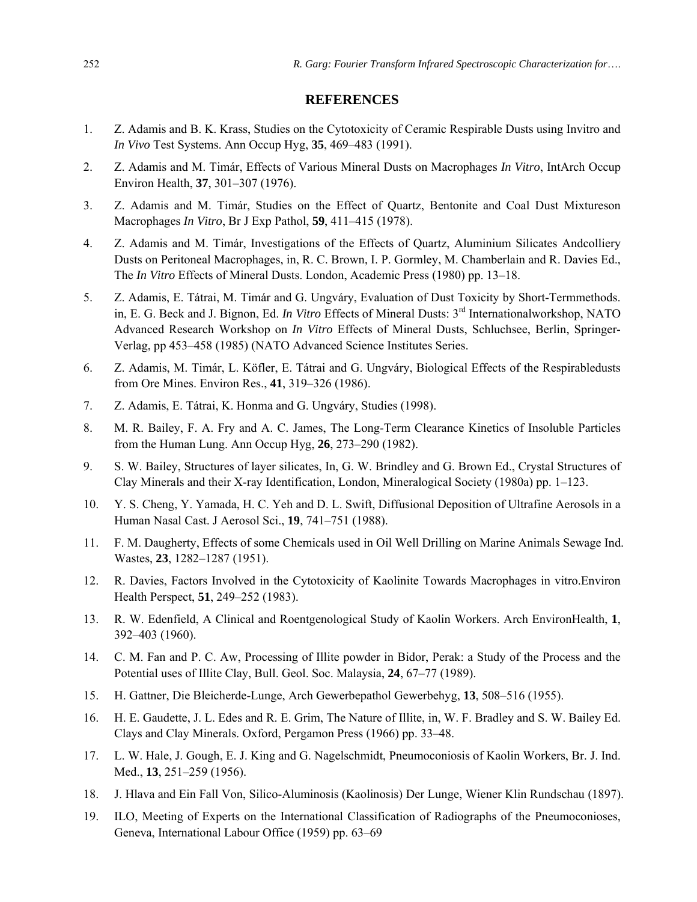## **REFERENCES**

- 1. Z. Adamis and B. K. Krass, Studies on the Cytotoxicity of Ceramic Respirable Dusts using Invitro and *In Vivo* Test Systems. Ann Occup Hyg, **35**, 469–483 (1991).
- 2. Z. Adamis and M. Timár, Effects of Various Mineral Dusts on Macrophages *In Vitro*, IntArch Occup Environ Health, **37**, 301–307 (1976).
- 3. Z. Adamis and M. Timár, Studies on the Effect of Quartz, Bentonite and Coal Dust Mixtureson Macrophages *In Vitro*, Br J Exp Pathol, **59**, 411–415 (1978).
- 4. Z. Adamis and M. Timár, Investigations of the Effects of Quartz, Aluminium Silicates Andcolliery Dusts on Peritoneal Macrophages, in, R. C. Brown, I. P. Gormley, M. Chamberlain and R. Davies Ed., The *In Vitro* Effects of Mineral Dusts. London, Academic Press (1980) pp. 13–18.
- 5. Z. Adamis, E. Tátrai, M. Timár and G. Ungváry, Evaluation of Dust Toxicity by Short-Termmethods. in, E. G. Beck and J. Bignon, Ed. *In Vitro* Effects of Mineral Dusts: 3rd Internationalworkshop, NATO Advanced Research Workshop on *In Vitro* Effects of Mineral Dusts, Schluchsee, Berlin, Springer-Verlag, pp 453–458 (1985) (NATO Advanced Science Institutes Series.
- 6. Z. Adamis, M. Timár, L. Köfler, E. Tátrai and G. Ungváry, Biological Effects of the Respirabledusts from Ore Mines. Environ Res., **41**, 319–326 (1986).
- 7. Z. Adamis, E. Tátrai, K. Honma and G. Ungváry, Studies (1998).
- 8. M. R. Bailey, F. A. Fry and A. C. James, The Long-Term Clearance Kinetics of Insoluble Particles from the Human Lung. Ann Occup Hyg, **26**, 273–290 (1982).
- 9. S. W. Bailey, Structures of layer silicates, In, G. W. Brindley and G. Brown Ed., Crystal Structures of Clay Minerals and their X-ray Identification, London, Mineralogical Society (1980a) pp. 1–123.
- 10. Y. S. Cheng, Y. Yamada, H. C. Yeh and D. L. Swift, Diffusional Deposition of Ultrafine Aerosols in a Human Nasal Cast. J Aerosol Sci., **19**, 741–751 (1988).
- 11. F. M. Daugherty, Effects of some Chemicals used in Oil Well Drilling on Marine Animals Sewage Ind. Wastes, **23**, 1282–1287 (1951).
- 12. R. Davies, Factors Involved in the Cytotoxicity of Kaolinite Towards Macrophages in vitro.Environ Health Perspect, **51**, 249–252 (1983).
- 13. R. W. Edenfield, A Clinical and Roentgenological Study of Kaolin Workers. Arch EnvironHealth, **1**, 392–403 (1960).
- 14. C. M. Fan and P. C. Aw, Processing of Illite powder in Bidor, Perak: a Study of the Process and the Potential uses of Illite Clay, Bull. Geol. Soc. Malaysia, **24**, 67–77 (1989).
- 15. H. Gattner, Die Bleicherde-Lunge, Arch Gewerbepathol Gewerbehyg, **13**, 508–516 (1955).
- 16. H. E. Gaudette, J. L. Edes and R. E. Grim, The Nature of Illite, in, W. F. Bradley and S. W. Bailey Ed. Clays and Clay Minerals. Oxford, Pergamon Press (1966) pp. 33–48.
- 17. L. W. Hale, J. Gough, E. J. King and G. Nagelschmidt, Pneumoconiosis of Kaolin Workers, Br. J. Ind. Med., **13**, 251–259 (1956).
- 18. J. Hlava and Ein Fall Von, Silico-Aluminosis (Kaolinosis) Der Lunge, Wiener Klin Rundschau (1897).
- 19. ILO, Meeting of Experts on the International Classification of Radiographs of the Pneumoconioses, Geneva, International Labour Office (1959) pp. 63–69